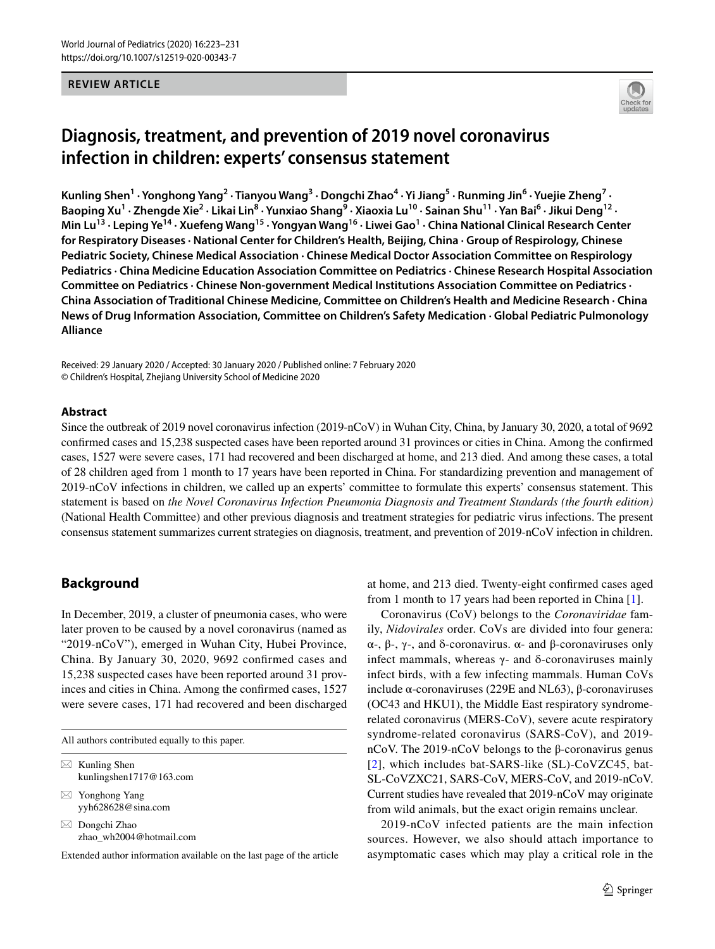#### **REVIEW ARTICLE**



# **Diagnosis, treatment, and prevention of 2019 novel coronavirus infection in children: experts' consensus statement**

Kunling Shen<sup>1</sup> • Yonghong Yang<sup>2</sup> • Tianyou Wang<sup>3</sup> • Dongchi Zhao<sup>4</sup> • Yi Jiang<sup>5</sup> • Runming Jin<sup>6</sup> • Yuejie Zheng<sup>7</sup> • Baoping Xu<sup>1</sup> · Zhengde Xie<sup>2</sup> · Likai Lin<sup>8</sup> · Yunxiao Shang<sup>9</sup> · Xiaoxia Lu<sup>10</sup> · Sainan Shu<sup>11</sup> · Yan Bai<sup>6</sup> · Jikui Deng<sup>12</sup> · Min Lu<sup>13</sup> · Leping Ye<sup>14</sup> · Xuefeng Wang<sup>15</sup> · Yongyan Wang<sup>16</sup> · Liwei Gao<sup>1</sup> · China National Clinical Research Center **for Respiratory Diseases · National Center for Children's Health, Beijing, China · Group of Respirology, Chinese Pediatric Society, Chinese Medical Association · Chinese Medical Doctor Association Committee on Respirology Pediatrics · China Medicine Education Association Committee on Pediatrics · Chinese Research Hospital Association Committee on Pediatrics · Chinese Non-government Medical Institutions Association Committee on Pediatrics · China Association of Traditional Chinese Medicine, Committee on Children's Health and Medicine Research · China News of Drug Information Association, Committee on Children's Safety Medication · Global Pediatric Pulmonology Alliance**

Received: 29 January 2020 / Accepted: 30 January 2020 / Published online: 7 February 2020 © Children's Hospital, Zhejiang University School of Medicine 2020

#### **Abstract**

Since the outbreak of 2019 novel coronavirus infection (2019-nCoV) in Wuhan City, China, by January 30, 2020, a total of 9692 confrmed cases and 15,238 suspected cases have been reported around 31 provinces or cities in China. Among the confrmed cases, 1527 were severe cases, 171 had recovered and been discharged at home, and 213 died. And among these cases, a total of 28 children aged from 1 month to 17 years have been reported in China. For standardizing prevention and management of 2019-nCoV infections in children, we called up an experts' committee to formulate this experts' consensus statement. This statement is based on *the Novel Coronavirus Infection Pneumonia Diagnosis and Treatment Standards (the fourth edition)* (National Health Committee) and other previous diagnosis and treatment strategies for pediatric virus infections. The present consensus statement summarizes current strategies on diagnosis, treatment, and prevention of 2019-nCoV infection in children.

## **Background**

In December, 2019, a cluster of pneumonia cases, who were later proven to be caused by a novel coronavirus (named as "2019-nCoV"), emerged in Wuhan City, Hubei Province, China. By January 30, 2020, 9692 confrmed cases and 15,238 suspected cases have been reported around 31 provinces and cities in China. Among the confrmed cases, 1527 were severe cases, 171 had recovered and been discharged

All authors contributed equally to this paper.

| $\boxtimes$ Kunling Shen<br>kunlingshen1717@163.com |
|-----------------------------------------------------|
| $\boxtimes$ Yonghong Yang<br>vyh628628@sina.com     |
| $\boxtimes$ Dongchi Zhao<br>zhao wh2004@hotmail.com |

Extended author information available on the last page of the article

at home, and 213 died. Twenty-eight confrmed cases aged from 1 month to 17 years had been reported in China [\[1](#page-6-0)].

Coronavirus (CoV) belongs to the *Coronaviridae* family, *Nidovirales* order. CoVs are divided into four genera: α-, β-, γ-, and δ-coronavirus. α- and β-coronaviruses only infect mammals, whereas  $γ$ - and δ-coronaviruses mainly infect birds, with a few infecting mammals. Human CoVs include α-coronaviruses (229E and NL63), β-coronaviruses (OC43 and HKU1), the Middle East respiratory syndromerelated coronavirus (MERS-CoV), severe acute respiratory syndrome-related coronavirus (SARS-CoV), and 2019 nCoV. The 2019-nCoV belongs to the β-coronavirus genus [[2\]](#page-6-1), which includes bat-SARS-like (SL)-CoVZC45, bat-SL-CoVZXC21, SARS-CoV, MERS-CoV, and 2019-nCoV. Current studies have revealed that 2019-nCoV may originate from wild animals, but the exact origin remains unclear.

2019-nCoV infected patients are the main infection sources. However, we also should attach importance to asymptomatic cases which may play a critical role in the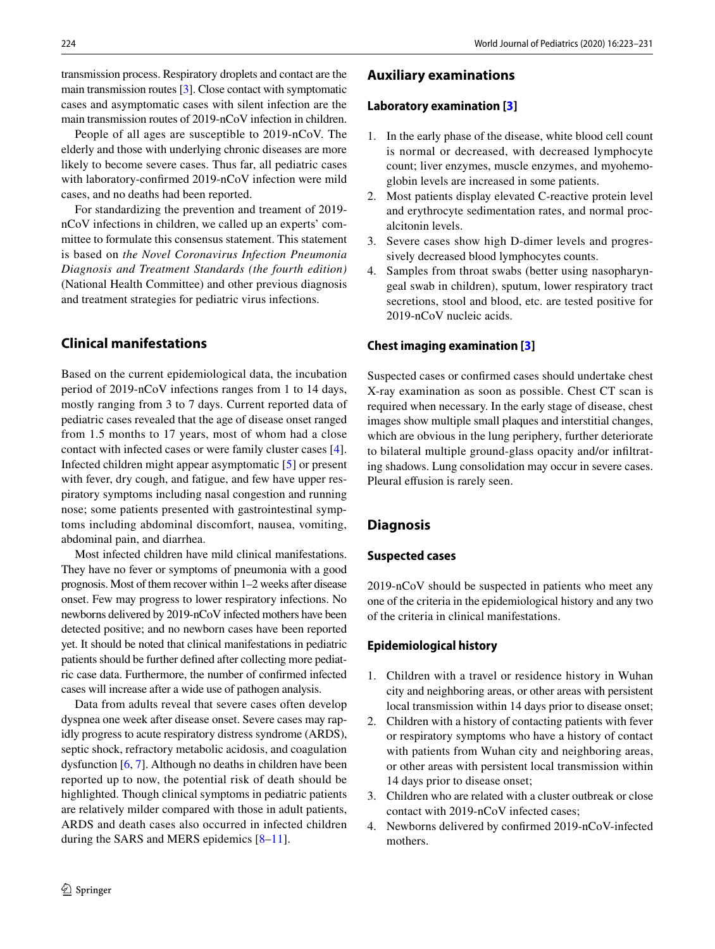transmission process. Respiratory droplets and contact are the main transmission routes [[3](#page-6-2)]. Close contact with symptomatic cases and asymptomatic cases with silent infection are the main transmission routes of 2019-nCoV infection in children.

People of all ages are susceptible to 2019-nCoV. The elderly and those with underlying chronic diseases are more likely to become severe cases. Thus far, all pediatric cases with laboratory-confrmed 2019-nCoV infection were mild cases, and no deaths had been reported.

For standardizing the prevention and treament of 2019 nCoV infections in children, we called up an experts' committee to formulate this consensus statement. This statement is based on *the Novel Coronavirus Infection Pneumonia Diagnosis and Treatment Standards (the fourth edition)* (National Health Committee) and other previous diagnosis and treatment strategies for pediatric virus infections.

## **Clinical manifestations**

Based on the current epidemiological data, the incubation period of 2019-nCoV infections ranges from 1 to 14 days, mostly ranging from 3 to 7 days. Current reported data of pediatric cases revealed that the age of disease onset ranged from 1.5 months to 17 years, most of whom had a close contact with infected cases or were family cluster cases [\[4](#page-6-3)]. Infected children might appear asymptomatic [[5\]](#page-6-4) or present with fever, dry cough, and fatigue, and few have upper respiratory symptoms including nasal congestion and running nose; some patients presented with gastrointestinal symptoms including abdominal discomfort, nausea, vomiting, abdominal pain, and diarrhea.

Most infected children have mild clinical manifestations. They have no fever or symptoms of pneumonia with a good prognosis. Most of them recover within 1–2 weeks after disease onset. Few may progress to lower respiratory infections. No newborns delivered by 2019-nCoV infected mothers have been detected positive; and no newborn cases have been reported yet. It should be noted that clinical manifestations in pediatric patients should be further defned after collecting more pediatric case data. Furthermore, the number of confrmed infected cases will increase after a wide use of pathogen analysis.

Data from adults reveal that severe cases often develop dyspnea one week after disease onset. Severe cases may rapidly progress to acute respiratory distress syndrome (ARDS), septic shock, refractory metabolic acidosis, and coagulation dysfunction [\[6](#page-6-5), [7\]](#page-6-6). Although no deaths in children have been reported up to now, the potential risk of death should be highlighted. Though clinical symptoms in pediatric patients are relatively milder compared with those in adult patients, ARDS and death cases also occurred in infected children during the SARS and MERS epidemics [[8–](#page-6-7)[11](#page-6-8)].

## **Auxiliary examinations**

#### **Laboratory examination [\[3\]](#page-6-2)**

- 1. In the early phase of the disease, white blood cell count is normal or decreased, with decreased lymphocyte count; liver enzymes, muscle enzymes, and myohemoglobin levels are increased in some patients.
- 2. Most patients display elevated C-reactive protein level and erythrocyte sedimentation rates, and normal procalcitonin levels.
- 3. Severe cases show high D-dimer levels and progressively decreased blood lymphocytes counts.
- 4. Samples from throat swabs (better using nasopharyngeal swab in children), sputum, lower respiratory tract secretions, stool and blood, etc. are tested positive for 2019-nCoV nucleic acids.

#### **Chest imaging examination [[3\]](#page-6-2)**

Suspected cases or confrmed cases should undertake chest X-ray examination as soon as possible. Chest CT scan is required when necessary. In the early stage of disease, chest images show multiple small plaques and interstitial changes, which are obvious in the lung periphery, further deteriorate to bilateral multiple ground-glass opacity and/or infltrating shadows. Lung consolidation may occur in severe cases. Pleural effusion is rarely seen.

## **Diagnosis**

#### **Suspected cases**

2019-nCoV should be suspected in patients who meet any one of the criteria in the epidemiological history and any two of the criteria in clinical manifestations.

#### **Epidemiological history**

- 1. Children with a travel or residence history in Wuhan city and neighboring areas, or other areas with persistent local transmission within 14 days prior to disease onset;
- 2. Children with a history of contacting patients with fever or respiratory symptoms who have a history of contact with patients from Wuhan city and neighboring areas, or other areas with persistent local transmission within 14 days prior to disease onset;
- 3. Children who are related with a cluster outbreak or close contact with 2019-nCoV infected cases;
- 4. Newborns delivered by confrmed 2019-nCoV-infected mothers.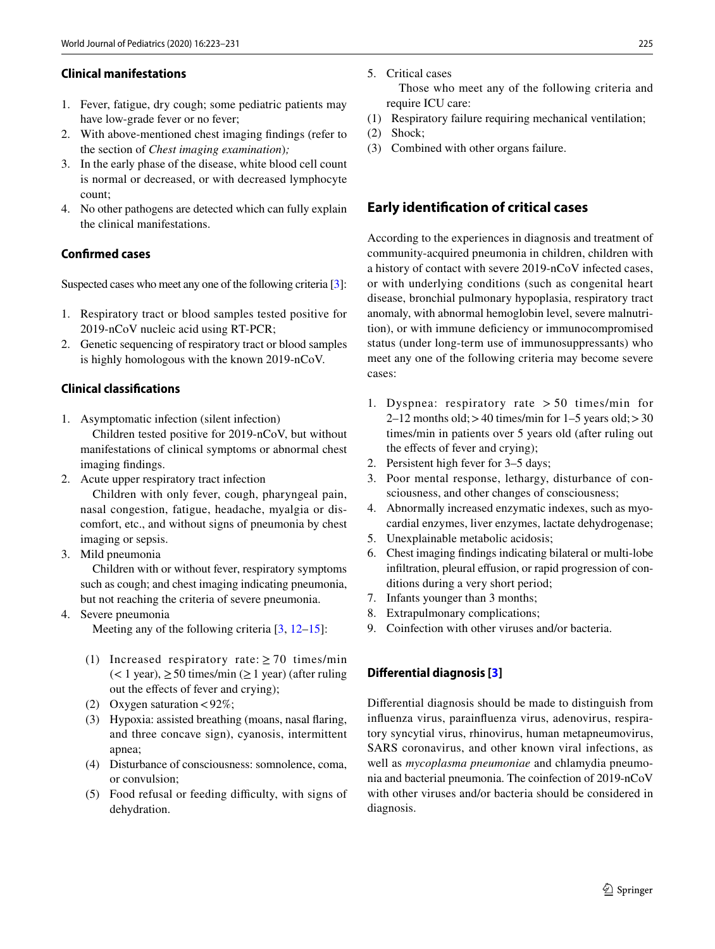#### **Clinical manifestations**

- 1. Fever, fatigue, dry cough; some pediatric patients may have low-grade fever or no fever;
- 2. With above-mentioned chest imaging fndings (refer to the section of *Chest imaging examination*)*;*
- 3. In the early phase of the disease, white blood cell count is normal or decreased, or with decreased lymphocyte count;
- 4. No other pathogens are detected which can fully explain the clinical manifestations.

#### **Confrmed cases**

Suspected cases who meet any one of the following criteria [\[3](#page-6-2)]:

- 1. Respiratory tract or blood samples tested positive for 2019-nCoV nucleic acid using RT-PCR;
- 2. Genetic sequencing of respiratory tract or blood samples is highly homologous with the known 2019-nCoV.

#### **Clinical classifcations**

- 1. Asymptomatic infection (silent infection) Children tested positive for 2019-nCoV, but without manifestations of clinical symptoms or abnormal chest imaging fndings.
- 2. Acute upper respiratory tract infection

 Children with only fever, cough, pharyngeal pain, nasal congestion, fatigue, headache, myalgia or discomfort, etc., and without signs of pneumonia by chest imaging or sepsis.

3. Mild pneumonia

 Children with or without fever, respiratory symptoms such as cough; and chest imaging indicating pneumonia, but not reaching the criteria of severe pneumonia.

4. Severe pneumonia

Meeting any of the following criteria [[3,](#page-6-2) [12–](#page-6-9)[15](#page-6-10)]:

- (1) Increased respiratory rate:  $\geq$  70 times/min  $(< 1$  year),  $\geq 50$  times/min ( $\geq 1$  year) (after ruling out the efects of fever and crying);
- (2) Oxygen saturation  $\langle 92\% \rangle$ ;
- (3) Hypoxia: assisted breathing (moans, nasal faring, and three concave sign), cyanosis, intermittent apnea;
- (4) Disturbance of consciousness: somnolence, coma, or convulsion;
- (5) Food refusal or feeding difficulty, with signs of dehydration.

5. Critical cases

 Those who meet any of the following criteria and require ICU care:

- (1) Respiratory failure requiring mechanical ventilation;
- (2) Shock;
- (3) Combined with other organs failure.

## **Early identifcation of critical cases**

According to the experiences in diagnosis and treatment of community-acquired pneumonia in children, children with a history of contact with severe 2019-nCoV infected cases, or with underlying conditions (such as congenital heart disease, bronchial pulmonary hypoplasia, respiratory tract anomaly, with abnormal hemoglobin level, severe malnutrition), or with immune defciency or immunocompromised status (under long-term use of immunosuppressants) who meet any one of the following criteria may become severe cases:

- 1. Dyspnea: respiratory rate  $> 50$  times/min for  $2-12$  months old;  $>40$  times/min for  $1-5$  years old;  $>30$ times/min in patients over 5 years old (after ruling out the effects of fever and crying);
- 2. Persistent high fever for 3–5 days;
- 3. Poor mental response, lethargy, disturbance of consciousness, and other changes of consciousness;
- 4. Abnormally increased enzymatic indexes, such as myocardial enzymes, liver enzymes, lactate dehydrogenase;
- 5. Unexplainable metabolic acidosis;
- 6. Chest imaging fndings indicating bilateral or multi-lobe infiltration, pleural effusion, or rapid progression of conditions during a very short period;
- 7. Infants younger than 3 months;
- 8. Extrapulmonary complications;
- 9. Coinfection with other viruses and/or bacteria.

#### **Diferential diagnosis [[3](#page-6-2)]**

Diferential diagnosis should be made to distinguish from infuenza virus, parainfuenza virus, adenovirus, respiratory syncytial virus, rhinovirus, human metapneumovirus, SARS coronavirus, and other known viral infections, as well as *mycoplasma pneumoniae* and chlamydia pneumonia and bacterial pneumonia. The coinfection of 2019-nCoV with other viruses and/or bacteria should be considered in diagnosis.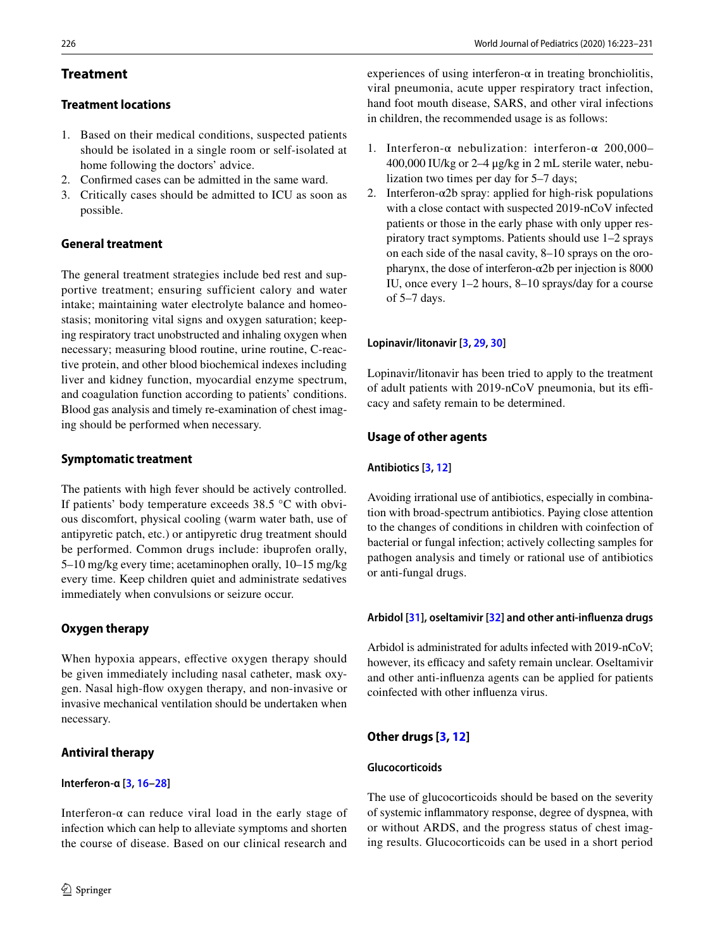## **Treatment**

## **Treatment locations**

- 1. Based on their medical conditions, suspected patients should be isolated in a single room or self-isolated at home following the doctors' advice.
- 2. Confrmed cases can be admitted in the same ward.
- 3. Critically cases should be admitted to ICU as soon as possible.

## **General treatment**

The general treatment strategies include bed rest and supportive treatment; ensuring sufficient calory and water intake; maintaining water electrolyte balance and homeostasis; monitoring vital signs and oxygen saturation; keeping respiratory tract unobstructed and inhaling oxygen when necessary; measuring blood routine, urine routine, C-reactive protein, and other blood biochemical indexes including liver and kidney function, myocardial enzyme spectrum, and coagulation function according to patients' conditions. Blood gas analysis and timely re-examination of chest imaging should be performed when necessary.

## **Symptomatic treatment**

The patients with high fever should be actively controlled. If patients' body temperature exceeds 38.5 °C with obvious discomfort, physical cooling (warm water bath, use of antipyretic patch, etc.) or antipyretic drug treatment should be performed. Common drugs include: ibuprofen orally, 5–10 mg/kg every time; acetaminophen orally, 10–15 mg/kg every time. Keep children quiet and administrate sedatives immediately when convulsions or seizure occur.

## **Oxygen therapy**

When hypoxia appears, efective oxygen therapy should be given immediately including nasal catheter, mask oxygen. Nasal high-fow oxygen therapy, and non-invasive or invasive mechanical ventilation should be undertaken when necessary.

## **Antiviral therapy**

## **Interferon***‑***α [[3,](#page-6-2) [16](#page-6-11)[–28](#page-7-0)]**

Interferon- $\alpha$  can reduce viral load in the early stage of infection which can help to alleviate symptoms and shorten the course of disease. Based on our clinical research and experiences of using interferon- $\alpha$  in treating bronchiolitis, viral pneumonia, acute upper respiratory tract infection, hand foot mouth disease, SARS, and other viral infections in children, the recommended usage is as follows:

- 1. Interferon-α nebulization: interferon-α 200,000– 400,000 IU/kg or 2–4 μg/kg in 2 mL sterile water, nebulization two times per day for 5–7 days;
- 2. Interferon- $\alpha$ 2b spray: applied for high-risk populations with a close contact with suspected 2019-nCoV infected patients or those in the early phase with only upper respiratory tract symptoms. Patients should use 1–2 sprays on each side of the nasal cavity, 8–10 sprays on the oropharynx, the dose of interferon- $\alpha$ 2b per injection is 8000 IU, once every 1–2 hours, 8–10 sprays/day for a course of 5–7 days.

## **Lopinavir/litonavir [\[3](#page-6-2), [29,](#page-7-1) [30\]](#page-7-2)**

Lopinavir/litonavir has been tried to apply to the treatment of adult patients with 2019-nCoV pneumonia, but its efficacy and safety remain to be determined.

## **Usage of other agents**

## **Antibiotics [\[3](#page-6-2), [12](#page-6-9)]**

Avoiding irrational use of antibiotics, especially in combination with broad-spectrum antibiotics. Paying close attention to the changes of conditions in children with coinfection of bacterial or fungal infection; actively collecting samples for pathogen analysis and timely or rational use of antibiotics or anti-fungal drugs.

## **Arbidol [[31\]](#page-7-3), oseltamivir [[32](#page-7-4)] and other anti‑infuenza drugs**

Arbidol is administrated for adults infected with 2019-nCoV; however, its efficacy and safety remain unclear. Oseltamivir and other anti-infuenza agents can be applied for patients coinfected with other infuenza virus.

## **Other drugs [\[3](#page-6-2), [12](#page-6-9)]**

## **Glucocorticoids**

The use of glucocorticoids should be based on the severity of systemic infammatory response, degree of dyspnea, with or without ARDS, and the progress status of chest imaging results. Glucocorticoids can be used in a short period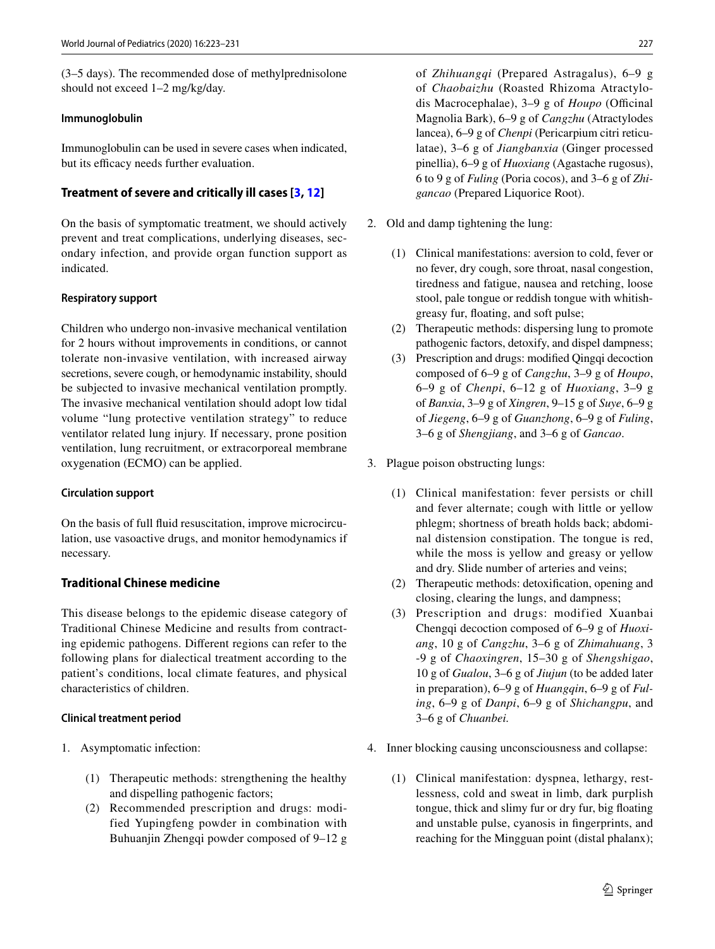(3–5 days). The recommended dose of methylprednisolone should not exceed 1–2 mg/kg/day.

#### **Immunoglobulin**

Immunoglobulin can be used in severe cases when indicated, but its efficacy needs further evaluation.

## **Treatment of severe and critically ill cases [\[3,](#page-6-2) [12\]](#page-6-9)**

On the basis of symptomatic treatment, we should actively prevent and treat complications, underlying diseases, secondary infection, and provide organ function support as indicated.

#### **Respiratory support**

Children who undergo non-invasive mechanical ventilation for 2 hours without improvements in conditions, or cannot tolerate non-invasive ventilation, with increased airway secretions, severe cough, or hemodynamic instability, should be subjected to invasive mechanical ventilation promptly. The invasive mechanical ventilation should adopt low tidal volume "lung protective ventilation strategy" to reduce ventilator related lung injury. If necessary, prone position ventilation, lung recruitment, or extracorporeal membrane oxygenation (ECMO) can be applied.

#### **Circulation support**

On the basis of full fuid resuscitation, improve microcirculation, use vasoactive drugs, and monitor hemodynamics if necessary.

## **Traditional Chinese medicine**

This disease belongs to the epidemic disease category of Traditional Chinese Medicine and results from contracting epidemic pathogens. Diferent regions can refer to the following plans for dialectical treatment according to the patient's conditions, local climate features, and physical characteristics of children.

## **Clinical treatment period**

- 1. Asymptomatic infection:
	- (1) Therapeutic methods: strengthening the healthy and dispelling pathogenic factors;
	- (2) Recommended prescription and drugs: modified Yupingfeng powder in combination with Buhuanjin Zhengqi powder composed of 9–12 g

of *Zhihuangqi* (Prepared Astragalus), 6–9 g of *Chaobaizhu* (Roasted Rhizoma Atractylodis Macrocephalae), 3–9 g of *Houpo* (Officinal Magnolia Bark), 6–9 g of *Cangzhu* (Atractylodes lancea), 6–9 g of *Chenpi* (Pericarpium citri reticulatae), 3–6 g of *Jiangbanxia* (Ginger processed pinellia), 6–9 g of *Huoxiang* (Agastache rugosus), 6 to 9 g of *Fuling* (Poria cocos), and 3–6 g of *Zhigancao* (Prepared Liquorice Root).

- 2. Old and damp tightening the lung:
	- (1) Clinical manifestations: aversion to cold, fever or no fever, dry cough, sore throat, nasal congestion, tiredness and fatigue, nausea and retching, loose stool, pale tongue or reddish tongue with whitishgreasy fur, foating, and soft pulse;
	- (2) Therapeutic methods: dispersing lung to promote pathogenic factors, detoxify, and dispel dampness;
	- (3) Prescription and drugs: modifed Qingqi decoction composed of 6–9 g of *Cangzhu*, 3–9 g of *Houpo*, 6–9 g of *Chenpi*, 6–12 g of *Huoxiang*, 3–9 g of *Banxia*, 3–9 g of *Xingren*, 9–15 g of *Suye*, 6–9 g of *Jiegeng*, 6–9 g of *Guanzhong*, 6–9 g of *Fuling*, 3–6 g of *Shengjiang*, and 3–6 g of *Gancao*.
- 3. Plague poison obstructing lungs:
	- (1) Clinical manifestation: fever persists or chill and fever alternate; cough with little or yellow phlegm; shortness of breath holds back; abdominal distension constipation. The tongue is red, while the moss is yellow and greasy or yellow and dry. Slide number of arteries and veins;
	- (2) Therapeutic methods: detoxifcation, opening and closing, clearing the lungs, and dampness;
	- (3) Prescription and drugs: modified Xuanbai Chengqi decoction composed of 6–9 g of *Huoxiang*, 10 g of *Cangzhu*, 3–6 g of *Zhimahuang*, 3 -9 g of *Chaoxingren*, 15–30 g of *Shengshigao*, 10 g of *Gualou*, 3–6 g of *Jiujun* (to be added later in preparation), 6–9 g of *Huangqin*, 6–9 g of *Fuling*, 6–9 g of *Danpi*, 6–9 g of *Shichangpu*, and 3–6 g of *Chuanbei.*
- 4. Inner blocking causing unconsciousness and collapse:
	- (1) Clinical manifestation: dyspnea, lethargy, restlessness, cold and sweat in limb, dark purplish tongue, thick and slimy fur or dry fur, big foating and unstable pulse, cyanosis in fngerprints, and reaching for the Mingguan point (distal phalanx);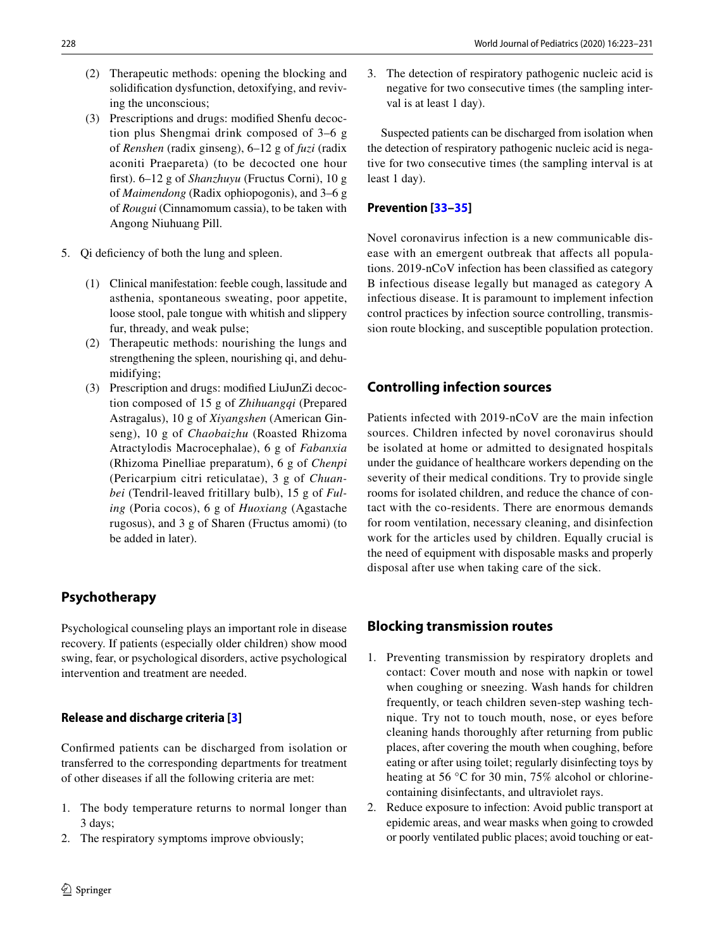- (2) Therapeutic methods: opening the blocking and solidifcation dysfunction, detoxifying, and reviving the unconscious;
- (3) Prescriptions and drugs: modifed Shenfu decoction plus Shengmai drink composed of 3–6 g of *Renshen* (radix ginseng), 6–12 g of *fuzi* (radix aconiti Praepareta) (to be decocted one hour frst). 6–12 g of *Shanzhuyu* (Fructus Corni), 10 g of *Maimendong* (Radix ophiopogonis), and 3–6 g of *Rougui* (Cinnamomum cassia), to be taken with Angong Niuhuang Pill.
- 5. Qi deficiency of both the lung and spleen.
	- (1) Clinical manifestation: feeble cough, lassitude and asthenia, spontaneous sweating, poor appetite, loose stool, pale tongue with whitish and slippery fur, thready, and weak pulse;
	- (2) Therapeutic methods: nourishing the lungs and strengthening the spleen, nourishing qi, and dehumidifying;
	- (3) Prescription and drugs: modifed LiuJunZi decoction composed of 15 g of *Zhihuangqi* (Prepared Astragalus), 10 g of *Xiyangshen* (American Ginseng), 10 g of *Chaobaizhu* (Roasted Rhizoma Atractylodis Macrocephalae), 6 g of *Fabanxia* (Rhizoma Pinelliae preparatum), 6 g of *Chenpi* (Pericarpium citri reticulatae), 3 g of *Chuanbei* (Tendril-leaved fritillary bulb), 15 g of *Fuling* (Poria cocos), 6 g of *Huoxiang* (Agastache rugosus), and 3 g of Sharen (Fructus amomi) (to be added in later).

# **Psychotherapy**

Psychological counseling plays an important role in disease recovery. If patients (especially older children) show mood swing, fear, or psychological disorders, active psychological intervention and treatment are needed.

# **Release and discharge criteria [[3](#page-6-2)]**

Confrmed patients can be discharged from isolation or transferred to the corresponding departments for treatment of other diseases if all the following criteria are met:

- 1. The body temperature returns to normal longer than 3 days;
- 2. The respiratory symptoms improve obviously;

3. The detection of respiratory pathogenic nucleic acid is negative for two consecutive times (the sampling interval is at least 1 day).

Suspected patients can be discharged from isolation when the detection of respiratory pathogenic nucleic acid is negative for two consecutive times (the sampling interval is at least 1 day).

## **Prevention [[33](#page-7-5)–[35](#page-7-6)]**

Novel coronavirus infection is a new communicable disease with an emergent outbreak that affects all populations. 2019-nCoV infection has been classifed as category B infectious disease legally but managed as category A infectious disease. It is paramount to implement infection control practices by infection source controlling, transmission route blocking, and susceptible population protection.

# **Controlling infection sources**

Patients infected with 2019-nCoV are the main infection sources. Children infected by novel coronavirus should be isolated at home or admitted to designated hospitals under the guidance of healthcare workers depending on the severity of their medical conditions. Try to provide single rooms for isolated children, and reduce the chance of contact with the co-residents. There are enormous demands for room ventilation, necessary cleaning, and disinfection work for the articles used by children. Equally crucial is the need of equipment with disposable masks and properly disposal after use when taking care of the sick.

# **Blocking transmission routes**

- 1. Preventing transmission by respiratory droplets and contact: Cover mouth and nose with napkin or towel when coughing or sneezing. Wash hands for children frequently, or teach children seven-step washing technique. Try not to touch mouth, nose, or eyes before cleaning hands thoroughly after returning from public places, after covering the mouth when coughing, before eating or after using toilet; regularly disinfecting toys by heating at 56 °C for 30 min, 75% alcohol or chlorinecontaining disinfectants, and ultraviolet rays.
- 2. Reduce exposure to infection: Avoid public transport at epidemic areas, and wear masks when going to crowded or poorly ventilated public places; avoid touching or eat-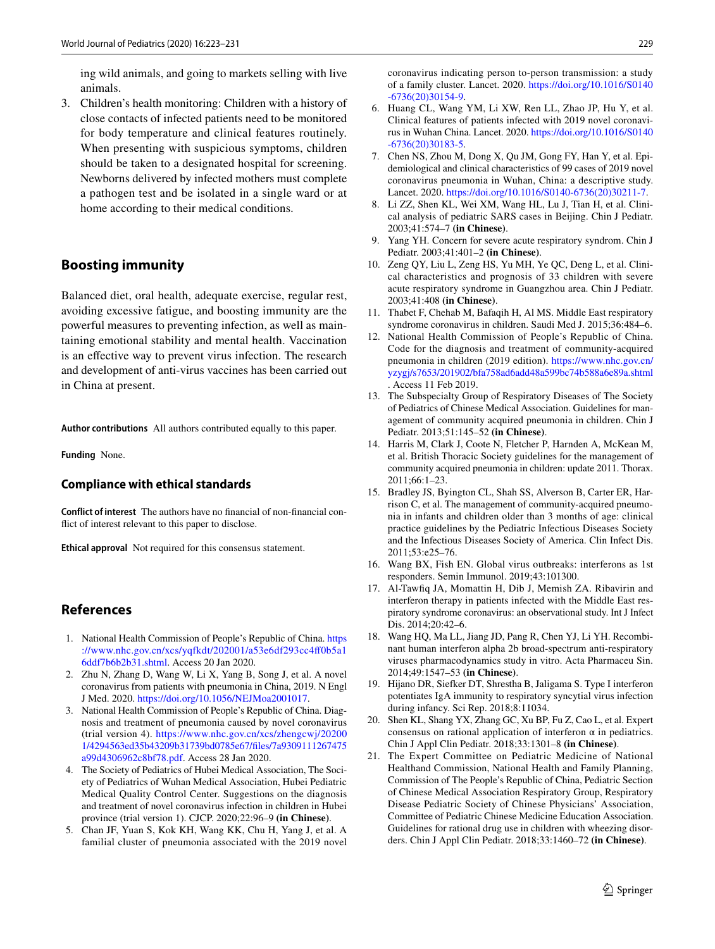ing wild animals, and going to markets selling with live animals.

3. Children's health monitoring: Children with a history of close contacts of infected patients need to be monitored for body temperature and clinical features routinely. When presenting with suspicious symptoms, children should be taken to a designated hospital for screening. Newborns delivered by infected mothers must complete a pathogen test and be isolated in a single ward or at home according to their medical conditions.

## **Boosting immunity**

Balanced diet, oral health, adequate exercise, regular rest, avoiding excessive fatigue, and boosting immunity are the powerful measures to preventing infection, as well as maintaining emotional stability and mental health. Vaccination is an efective way to prevent virus infection. The research and development of anti-virus vaccines has been carried out in China at present.

**Author contributions** All authors contributed equally to this paper.

**Funding** None.

## **Compliance with ethical standards**

**Conflict of interest** The authors have no fnancial of non-fnancial confict of interest relevant to this paper to disclose.

**Ethical approval** Not required for this consensus statement.

## **References**

- <span id="page-6-0"></span>1. National Health Commission of People's Republic of China. [https](https://www.nhc.gov.cn/xcs/yqfkdt/202001/a53e6df293cc4ff0b5a16ddf7b6b2b31.shtml) [://www.nhc.gov.cn/xcs/yqfkdt/202001/a53e6df293cc4f0b5a1](https://www.nhc.gov.cn/xcs/yqfkdt/202001/a53e6df293cc4ff0b5a16ddf7b6b2b31.shtml) [6ddf7b6b2b31.shtml](https://www.nhc.gov.cn/xcs/yqfkdt/202001/a53e6df293cc4ff0b5a16ddf7b6b2b31.shtml). Access 20 Jan 2020.
- <span id="page-6-1"></span>2. Zhu N, Zhang D, Wang W, Li X, Yang B, Song J, et al. A novel coronavirus from patients with pneumonia in China, 2019. N Engl J Med. 2020. <https://doi.org/10.1056/NEJMoa2001017>.
- <span id="page-6-2"></span>3. National Health Commission of People's Republic of China. Diagnosis and treatment of pneumonia caused by novel coronavirus (trial version 4). [https://www.nhc.gov.cn/xcs/zhengcwj/20200](https://www.nhc.gov.cn/xcs/zhengcwj/202001/4294563ed35b43209b31739bd0785e67/files/7a9309111267475a99d4306962c8bf78.pdf) [1/4294563ed35b43209b31739bd0785e67/fles/7a9309111267475](https://www.nhc.gov.cn/xcs/zhengcwj/202001/4294563ed35b43209b31739bd0785e67/files/7a9309111267475a99d4306962c8bf78.pdf) [a99d4306962c8bf78.pdf](https://www.nhc.gov.cn/xcs/zhengcwj/202001/4294563ed35b43209b31739bd0785e67/files/7a9309111267475a99d4306962c8bf78.pdf). Access 28 Jan 2020.
- <span id="page-6-3"></span>4. The Society of Pediatrics of Hubei Medical Association, The Society of Pediatrics of Wuhan Medical Association, Hubei Pediatric Medical Quality Control Center. Suggestions on the diagnosis and treatment of novel coronavirus infection in children in Hubei province (trial version 1). CJCP. 2020;22:96–9 **(in Chinese)**.
- <span id="page-6-4"></span>5. Chan JF, Yuan S, Kok KH, Wang KK, Chu H, Yang J, et al. A familial cluster of pneumonia associated with the 2019 novel

coronavirus indicating person to-person transmission: a study of a family cluster. Lancet. 2020. [https://doi.org/10.1016/S0140](https://doi.org/10.1016/S0140-6736(20)30154-9) [-6736\(20\)30154-9](https://doi.org/10.1016/S0140-6736(20)30154-9).

- <span id="page-6-5"></span>6. Huang CL, Wang YM, Li XW, Ren LL, Zhao JP, Hu Y, et al. Clinical features of patients infected with 2019 novel coronavirus in Wuhan China. Lancet. 2020. [https://doi.org/10.1016/S0140](https://doi.org/10.1016/S0140-6736(20)30183-5) [-6736\(20\)30183-5](https://doi.org/10.1016/S0140-6736(20)30183-5).
- <span id="page-6-6"></span>7. Chen NS, Zhou M, Dong X, Qu JM, Gong FY, Han Y, et al. Epidemiological and clinical characteristics of 99 cases of 2019 novel coronavirus pneumonia in Wuhan, China: a descriptive study. Lancet. 2020. [https://doi.org/10.1016/S0140-6736\(20\)30211-7](https://doi.org/10.1016/S0140-6736(20)30211-7).
- <span id="page-6-7"></span>8. Li ZZ, Shen KL, Wei XM, Wang HL, Lu J, Tian H, et al. Clinical analysis of pediatric SARS cases in Beijing. Chin J Pediatr. 2003;41:574–7 **(in Chinese)**.
- 9. Yang YH. Concern for severe acute respiratory syndrom. Chin J Pediatr. 2003;41:401–2 **(in Chinese)**.
- 10. Zeng QY, Liu L, Zeng HS, Yu MH, Ye QC, Deng L, et al. Clinical characteristics and prognosis of 33 children with severe acute respiratory syndrome in Guangzhou area. Chin J Pediatr. 2003;41:408 **(in Chinese)**.
- <span id="page-6-8"></span>11. Thabet F, Chehab M, Bafaqih H, Al MS. Middle East respiratory syndrome coronavirus in children. Saudi Med J. 2015;36:484–6.
- <span id="page-6-9"></span>12. National Health Commission of People's Republic of China. Code for the diagnosis and treatment of community-acquired pneumonia in children (2019 edition). [https://www.nhc.gov.cn/](https://www.nhc.gov.cn/yzygj/s7653/201902/bfa758ad6add48a599bc74b588a6e89a.shtml) [yzygj/s7653/201902/bfa758ad6add48a599bc74b588a6e89a.shtml](https://www.nhc.gov.cn/yzygj/s7653/201902/bfa758ad6add48a599bc74b588a6e89a.shtml) . Access 11 Feb 2019.
- 13. The Subspecialty Group of Respiratory Diseases of The Society of Pediatrics of Chinese Medical Association. Guidelines for management of community acquired pneumonia in children. Chin J Pediatr. 2013;51:145–52 **(in Chinese)**.
- 14. Harris M, Clark J, Coote N, Fletcher P, Harnden A, McKean M, et al. British Thoracic Society guidelines for the management of community acquired pneumonia in children: update 2011. Thorax. 2011;66:1–23.
- <span id="page-6-10"></span>15. Bradley JS, Byington CL, Shah SS, Alverson B, Carter ER, Harrison C, et al. The management of community-acquired pneumonia in infants and children older than 3 months of age: clinical practice guidelines by the Pediatric Infectious Diseases Society and the Infectious Diseases Society of America. Clin Infect Dis. 2011;53:e25–76.
- <span id="page-6-11"></span>16. Wang BX, Fish EN. Global virus outbreaks: interferons as 1st responders. Semin Immunol. 2019;43:101300.
- 17. Al-Tawfq JA, Momattin H, Dib J, Memish ZA. Ribavirin and interferon therapy in patients infected with the Middle East respiratory syndrome coronavirus: an observational study. Int J Infect Dis. 2014;20:42–6.
- 18. Wang HQ, Ma LL, Jiang JD, Pang R, Chen YJ, Li YH. Recombinant human interferon alpha 2b broad-spectrum anti-respiratory viruses pharmacodynamics study in vitro. Acta Pharmaceu Sin. 2014;49:1547–53 **(in Chinese)**.
- 19. Hijano DR, Siefker DT, Shrestha B, Jaligama S. Type I interferon potentiates IgA immunity to respiratory syncytial virus infection during infancy. Sci Rep. 2018;8:11034.
- 20. Shen KL, Shang YX, Zhang GC, Xu BP, Fu Z, Cao L, et al. Expert consensus on rational application of interferon  $\alpha$  in pediatrics. Chin J Appl Clin Pediatr. 2018;33:1301–8 **(in Chinese)**.
- 21. The Expert Committee on Pediatric Medicine of National Healthand Commission, National Health and Family Planning, Commission of The People's Republic of China, Pediatric Section of Chinese Medical Association Respiratory Group, Respiratory Disease Pediatric Society of Chinese Physicians' Association, Committee of Pediatric Chinese Medicine Education Association. Guidelines for rational drug use in children with wheezing disorders. Chin J Appl Clin Pediatr. 2018;33:1460–72 **(in Chinese)**.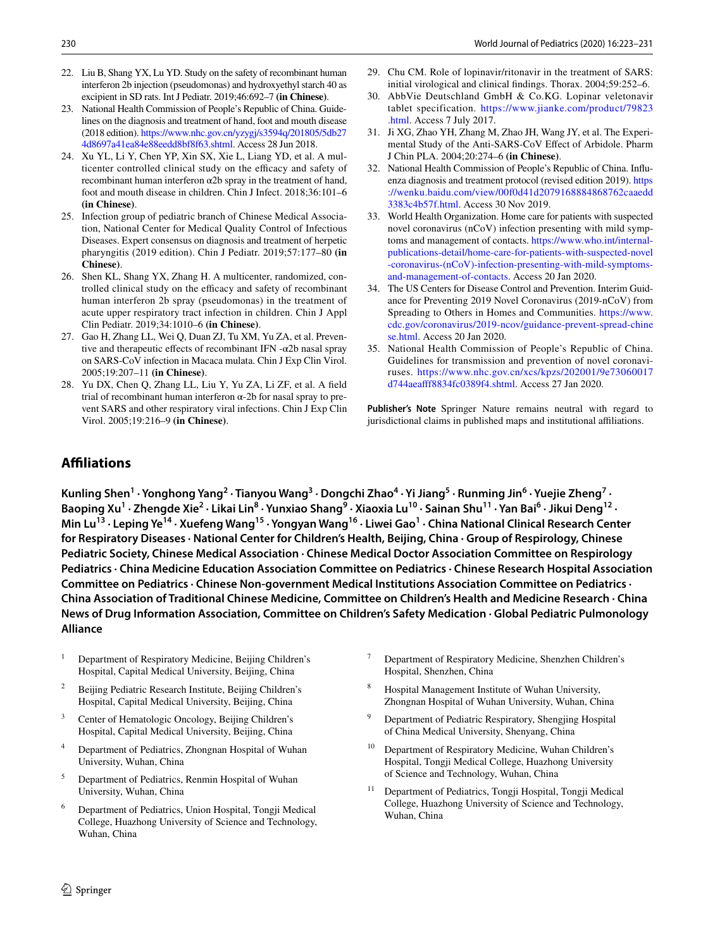- 22. Liu B, Shang YX, Lu YD. Study on the safety of recombinant human interferon 2b injection (pseudomonas) and hydroxyethyl starch 40 as excipient in SD rats. Int J Pediatr. 2019;46:692–7 **(in Chinese)**.
- 23. National Health Commission of People's Republic of China. Guidelines on the diagnosis and treatment of hand, foot and mouth disease (2018 edition). [https://www.nhc.gov.cn/yzygj/s3594q/201805/5db27](https://www.nhc.gov.cn/yzygj/s3594q/201805/5db274d8697a41ea84e88eedd8bf8f63.shtml) [4d8697a41ea84e88eedd8bf8f63.shtml.](https://www.nhc.gov.cn/yzygj/s3594q/201805/5db274d8697a41ea84e88eedd8bf8f63.shtml) Access 28 Jun 2018.
- 24. Xu YL, Li Y, Chen YP, Xin SX, Xie L, Liang YD, et al. A multicenter controlled clinical study on the efficacy and safety of recombinant human interferon α2b spray in the treatment of hand, foot and mouth disease in children. Chin J Infect. 2018;36:101–6 **(in Chinese)**.
- 25. Infection group of pediatric branch of Chinese Medical Association, National Center for Medical Quality Control of Infectious Diseases. Expert consensus on diagnosis and treatment of herpetic pharyngitis (2019 edition). Chin J Pediatr. 2019;57:177–80 **(in Chinese)**.
- 26. Shen KL, Shang YX, Zhang H. A multicenter, randomized, controlled clinical study on the efficacy and safety of recombinant human interferon 2b spray (pseudomonas) in the treatment of acute upper respiratory tract infection in children. Chin J Appl Clin Pediatr. 2019;34:1010–6 **(in Chinese)**.
- 27. Gao H, Zhang LL, Wei Q, Duan ZJ, Tu XM, Yu ZA, et al. Preventive and therapeutic efects of recombinant IFN -α2b nasal spray on SARS-CoV infection in Macaca mulata. Chin J Exp Clin Virol. 2005;19:207–11 **(in Chinese)**.
- <span id="page-7-0"></span>28. Yu DX, Chen Q, Zhang LL, Liu Y, Yu ZA, Li ZF, et al. A feld trial of recombinant human interferon α-2b for nasal spray to prevent SARS and other respiratory viral infections. Chin J Exp Clin Virol. 2005;19:216–9 **(in Chinese)**.
- <span id="page-7-1"></span>29. Chu CM. Role of lopinavir/ritonavir in the treatment of SARS: initial virological and clinical fndings. Thorax. 2004;59:252–6.
- <span id="page-7-2"></span>30. AbbVie Deutschland GmbH & Co.KG. Lopinar veletonavir tablet specification. [https://www.jianke.com/product/79823](https://www.jianke.com/product/79823.html) [.html](https://www.jianke.com/product/79823.html). Access 7 July 2017.
- <span id="page-7-3"></span>31. Ji XG, Zhao YH, Zhang M, Zhao JH, Wang JY, et al. The Experimental Study of the Anti-SARS-CoV Efect of Arbidole. Pharm J Chin PLA. 2004;20:274–6 **(in Chinese)**.
- <span id="page-7-4"></span>32. National Health Commission of People's Republic of China. Infuenza diagnosis and treatment protocol (revised edition 2019). [https](https://wenku.baidu.com/view/00f0d41d2079168884868762caaedd3383c4b57f.html) [://wenku.baidu.com/view/00f0d41d2079168884868762caaedd](https://wenku.baidu.com/view/00f0d41d2079168884868762caaedd3383c4b57f.html) [3383c4b57f.html](https://wenku.baidu.com/view/00f0d41d2079168884868762caaedd3383c4b57f.html). Access 30 Nov 2019.
- <span id="page-7-5"></span>33. World Health Organization. Home care for patients with suspected novel coronavirus (nCoV) infection presenting with mild symptoms and management of contacts. [https://www.who.int/internal](https://www.who.int/internal-publications-detail/home-care-for-patients-with-suspected-novel-coronavirus-(nCoV)-infection-presenting-with-mild-symptoms-and-management-of-contacts)[publications-detail/home-care-for-patients-with-suspected-novel](https://www.who.int/internal-publications-detail/home-care-for-patients-with-suspected-novel-coronavirus-(nCoV)-infection-presenting-with-mild-symptoms-and-management-of-contacts) [-coronavirus-\(nCoV\)-infection-presenting-with-mild-symptoms](https://www.who.int/internal-publications-detail/home-care-for-patients-with-suspected-novel-coronavirus-(nCoV)-infection-presenting-with-mild-symptoms-and-management-of-contacts)[and-management-of-contacts](https://www.who.int/internal-publications-detail/home-care-for-patients-with-suspected-novel-coronavirus-(nCoV)-infection-presenting-with-mild-symptoms-and-management-of-contacts). Access 20 Jan 2020.
- 34. The US Centers for Disease Control and Prevention. Interim Guidance for Preventing 2019 Novel Coronavirus (2019-nCoV) from Spreading to Others in Homes and Communities. [https://www.](https://www.cdc.gov/coronavirus/2019-ncov/guidance-prevent-spread-chinese.html) [cdc.gov/coronavirus/2019-ncov/guidance-prevent-spread-chine](https://www.cdc.gov/coronavirus/2019-ncov/guidance-prevent-spread-chinese.html) [se.html](https://www.cdc.gov/coronavirus/2019-ncov/guidance-prevent-spread-chinese.html). Access 20 Jan 2020.
- <span id="page-7-6"></span>35. National Health Commission of People's Republic of China. Guidelines for transmission and prevention of novel coronaviruses. [https://www.nhc.gov.cn/xcs/kpzs/202001/9e73060017](https://www.nhc.gov.cn/xcs/kpzs/202001/9e73060017d744aeafff8834fc0389f4.shtml) [d744aeaff8834fc0389f4.shtml](https://www.nhc.gov.cn/xcs/kpzs/202001/9e73060017d744aeafff8834fc0389f4.shtml). Access 27 Jan 2020.

**Publisher's Note** Springer Nature remains neutral with regard to jurisdictional claims in published maps and institutional afliations.

## **Afliations**

Kunling Shen<sup>1</sup> · Yonghong Yang<sup>2</sup> · Tianyou Wang<sup>3</sup> · Dongchi Zhao<sup>4</sup> · Yi Jiang<sup>5</sup> · Runming Jin<sup>6</sup> · Yuejie Zheng<sup>7</sup> · Baoping Xu<sup>1</sup> · Zhengde Xie<sup>2</sup> · Likai Lin<sup>8</sup> · Yunxiao Shang<sup>9</sup> · Xiaoxia Lu<sup>10</sup> · Sainan Shu<sup>11</sup> · Yan Bai<sup>6</sup> · Jikui Deng<sup>12</sup> · Min Lu<sup>13</sup> · Leping Ye<sup>14</sup> · Xuefeng Wang<sup>15</sup> · Yongyan Wang<sup>16</sup> · Liwei Gao<sup>1</sup> · China National Clinical Research Center **for Respiratory Diseases · National Center for Children's Health, Beijing, China · Group of Respirology, Chinese Pediatric Society, Chinese Medical Association · Chinese Medical Doctor Association Committee on Respirology Pediatrics · China Medicine Education Association Committee on Pediatrics · Chinese Research Hospital Association Committee on Pediatrics · Chinese Non-government Medical Institutions Association Committee on Pediatrics · China Association of Traditional Chinese Medicine, Committee on Children's Health and Medicine Research · China News of Drug Information Association, Committee on Children's Safety Medication · Global Pediatric Pulmonology Alliance**

- <sup>1</sup> Department of Respiratory Medicine, Beijing Children's Hospital, Capital Medical University, Beijing, China
- <sup>2</sup> Beijing Pediatric Research Institute, Beijing Children's Hospital, Capital Medical University, Beijing, China
- Center of Hematologic Oncology, Beijing Children's Hospital, Capital Medical University, Beijing, China
- <sup>4</sup> Department of Pediatrics, Zhongnan Hospital of Wuhan University, Wuhan, China
- <sup>5</sup> Department of Pediatrics, Renmin Hospital of Wuhan University, Wuhan, China
- <sup>6</sup> Department of Pediatrics, Union Hospital, Tongji Medical College, Huazhong University of Science and Technology, Wuhan, China
- <sup>7</sup> Department of Respiratory Medicine, Shenzhen Children's Hospital, Shenzhen, China
- <sup>8</sup> Hospital Management Institute of Wuhan University, Zhongnan Hospital of Wuhan University, Wuhan, China
- <sup>9</sup> Department of Pediatric Respiratory, Shengjing Hospital of China Medical University, Shenyang, China
- <sup>10</sup> Department of Respiratory Medicine, Wuhan Children's Hospital, Tongji Medical College, Huazhong University of Science and Technology, Wuhan, China
- <sup>11</sup> Department of Pediatrics, Tongji Hospital, Tongji Medical College, Huazhong University of Science and Technology, Wuhan, China